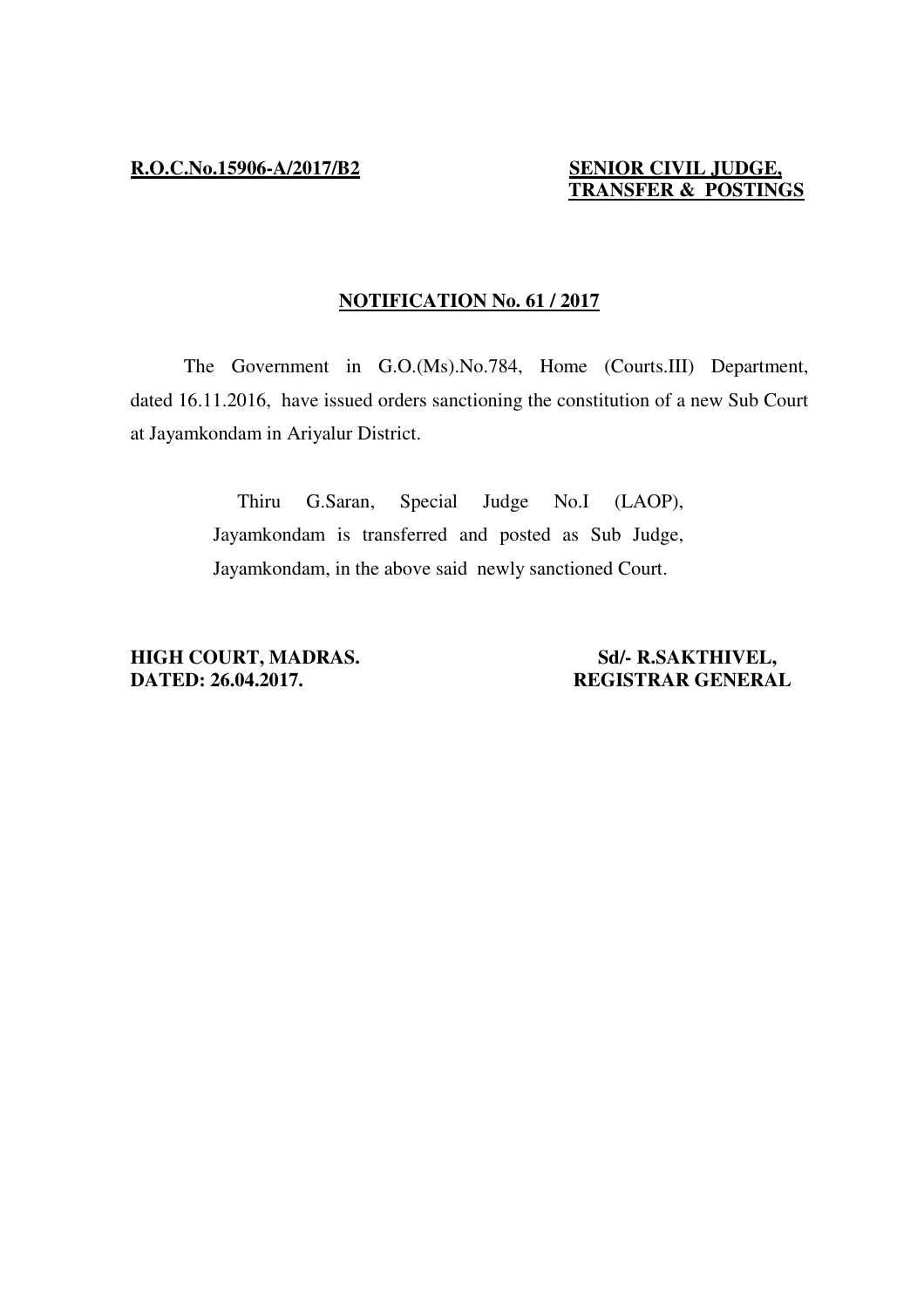# **TRANSFER & POSTINGS**

## **NOTIFICATION No. 61 / 2017**

 The Government in G.O.(Ms).No.784, Home (Courts.III) Department, dated 16.11.2016, have issued orders sanctioning the constitution of a new Sub Court at Jayamkondam in Ariyalur District.

> Thiru G.Saran, Special Judge No.I (LAOP), Jayamkondam is transferred and posted as Sub Judge, Jayamkondam, in the above said newly sanctioned Court.

**HIGH COURT, MADRAS.** Sd/- R.SAKTHIVEL, Sales and Sd. PATED: 26.04.2017.

**DATED: 26.04.2017. REGISTRAR GENERAL**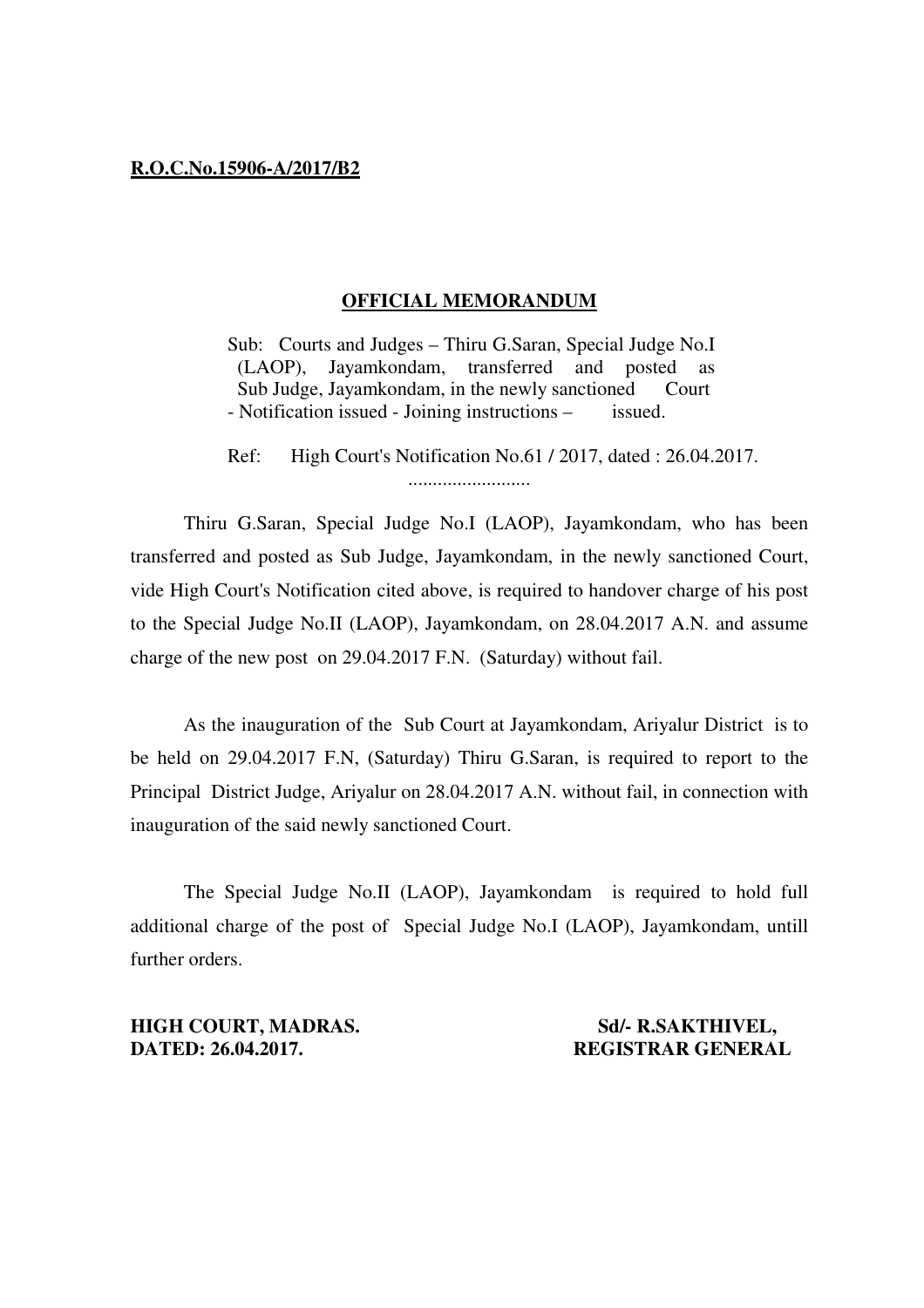## **R.O.C.No.15906-A/2017/B2**

## **OFFICIAL MEMORANDUM**

 Sub: Courts and Judges – Thiru G.Saran, Special Judge No.I (LAOP), Jayamkondam, transferred and posted as Sub Judge, Jayamkondam, in the newly sanctioned Court - Notification issued - Joining instructions – issued.

 Ref: High Court's Notification No.61 / 2017, dated : 26.04.2017. .........................

 Thiru G.Saran, Special Judge No.I (LAOP), Jayamkondam, who has been transferred and posted as Sub Judge, Jayamkondam, in the newly sanctioned Court, vide High Court's Notification cited above, is required to handover charge of his post to the Special Judge No.II (LAOP), Jayamkondam, on 28.04.2017 A.N. and assume charge of the new post on 29.04.2017 F.N. (Saturday) without fail.

 As the inauguration of the Sub Court at Jayamkondam, Ariyalur District is to be held on 29.04.2017 F.N, (Saturday) Thiru G.Saran, is required to report to the Principal District Judge, Ariyalur on 28.04.2017 A.N. without fail, in connection with inauguration of the said newly sanctioned Court.

 The Special Judge No.II (LAOP), Jayamkondam is required to hold full additional charge of the post of Special Judge No.I (LAOP), Jayamkondam, untill further orders.

**HIGH COURT, MADRAS.** Sd/- R.SAKTHIVEL, **DATED: 26.04.2017.** REGISTRAR GENERAL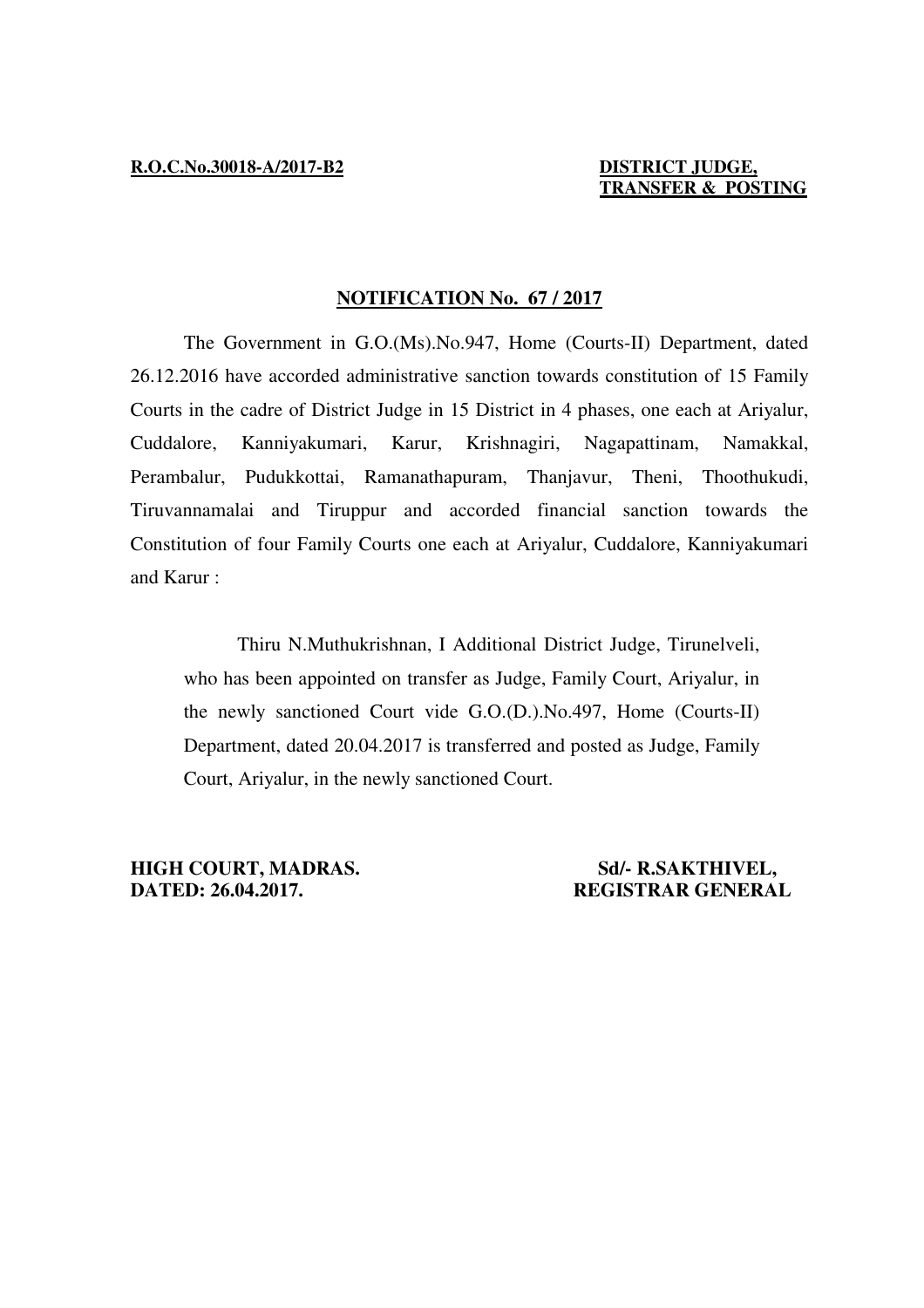## **TRANSFER & POSTING**

## **NOTIFICATION No. 67 / 2017**

 The Government in G.O.(Ms).No.947, Home (Courts-II) Department, dated 26.12.2016 have accorded administrative sanction towards constitution of 15 Family Courts in the cadre of District Judge in 15 District in 4 phases, one each at Ariyalur, Cuddalore, Kanniyakumari, Karur, Krishnagiri, Nagapattinam, Namakkal, Perambalur, Pudukkottai, Ramanathapuram, Thanjavur, Theni, Thoothukudi, Tiruvannamalai and Tiruppur and accorded financial sanction towards the Constitution of four Family Courts one each at Ariyalur, Cuddalore, Kanniyakumari and Karur :

 Thiru N.Muthukrishnan, I Additional District Judge, Tirunelveli, who has been appointed on transfer as Judge, Family Court, Ariyalur, in the newly sanctioned Court vide G.O.(D.).No.497, Home (Courts-II) Department, dated 20.04.2017 is transferred and posted as Judge, Family Court, Ariyalur, in the newly sanctioned Court.

**HIGH COURT, MADRAS.** Sd/- R.SAKTHIVEL, **DATED: 26.04.2017. REGISTRAR GENERAL**